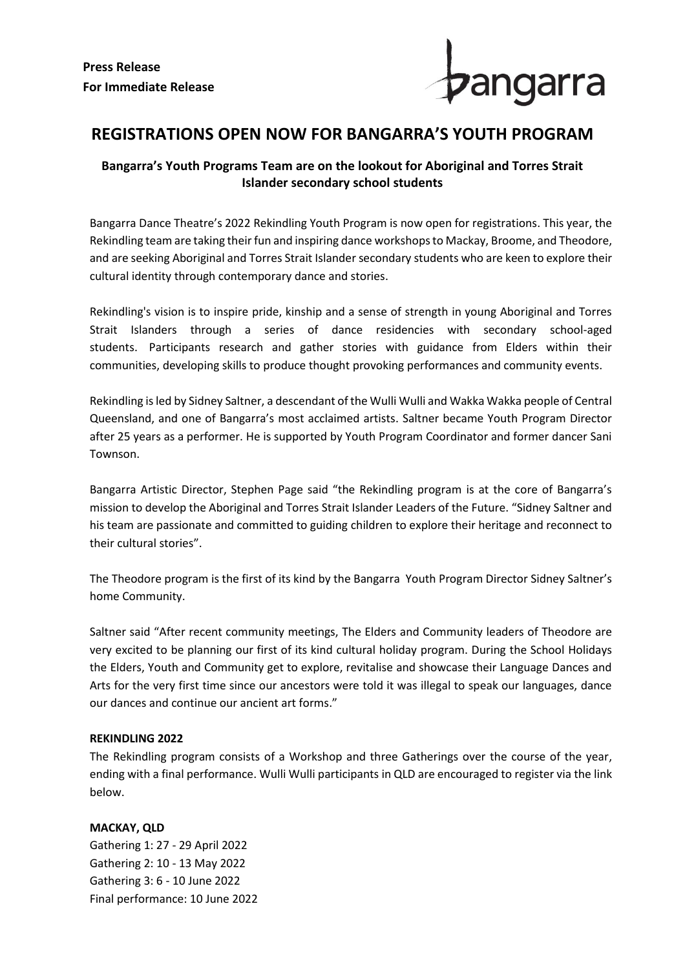

## **REGISTRATIONS OPEN NOW FOR BANGARRA'S YOUTH PROGRAM**

## **Bangarra's Youth Programs Team are on the lookout for Aboriginal and Torres Strait Islander secondary school students**

Bangarra Dance Theatre's 2022 Rekindling Youth Program is now open for registrations. This year, the Rekindling team are taking their fun and inspiring dance workshops to Mackay, Broome, and Theodore, and are seeking Aboriginal and Torres Strait Islander secondary students who are keen to explore their cultural identity through contemporary dance and stories.

Rekindling's vision is to inspire pride, kinship and a sense of strength in young Aboriginal and Torres Strait Islanders through a series of dance residencies with secondary school-aged students. Participants research and gather stories with guidance from Elders within their communities, developing skills to produce thought provoking performances and community events.

Rekindling is led by Sidney Saltner, a descendant of the Wulli Wulli and Wakka Wakka people of Central Queensland, and one of Bangarra's most acclaimed artists. Saltner became Youth Program Director after 25 years as a performer. He is supported by Youth Program Coordinator and former dancer Sani Townson.

Bangarra Artistic Director, Stephen Page said "the Rekindling program is at the core of Bangarra's mission to develop the Aboriginal and Torres Strait Islander Leaders of the Future. "Sidney Saltner and his team are passionate and committed to guiding children to explore their heritage and reconnect to their cultural stories".

The Theodore program is the first of its kind by the Bangarra Youth Program Director Sidney Saltner's home Community.

Saltner said "After recent community meetings, The Elders and Community leaders of Theodore are very excited to be planning our first of its kind cultural holiday program. During the School Holidays the Elders, Youth and Community get to explore, revitalise and showcase their Language Dances and Arts for the very first time since our ancestors were told it was illegal to speak our languages, dance our dances and continue our ancient art forms."

## **REKINDLING 2022**

The Rekindling program consists of a Workshop and three Gatherings over the course of the year, ending with a final performance. Wulli Wulli participants in QLD are encouraged to register via the link below.

**MACKAY, QLD** Gathering 1: 27 - 29 April 2022 Gathering 2: 10 - 13 May 2022 Gathering 3: 6 - 10 June 2022 Final performance: 10 June 2022